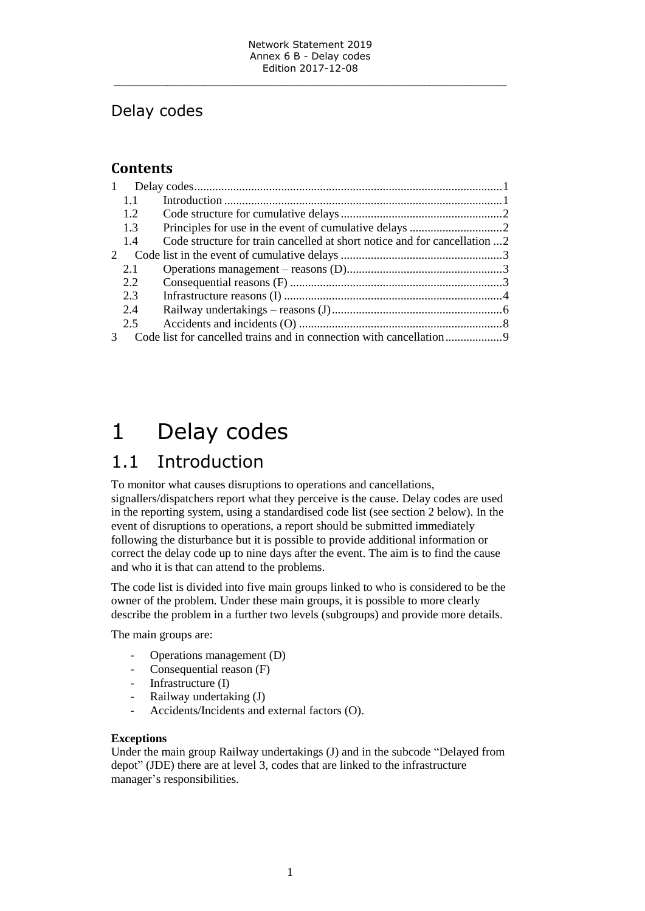### Delay codes

### **Contents**

| $\mathbf{1}$  |     |                                                                           |  |
|---------------|-----|---------------------------------------------------------------------------|--|
|               | 1.1 |                                                                           |  |
|               | 1.2 |                                                                           |  |
|               | 1.3 |                                                                           |  |
|               | 1.4 | Code structure for train cancelled at short notice and for cancellation 2 |  |
| $\mathcal{D}$ |     |                                                                           |  |
|               | 2.1 |                                                                           |  |
|               | 2.2 |                                                                           |  |
|               | 2.3 |                                                                           |  |
|               | 2.4 |                                                                           |  |
|               | 2.5 |                                                                           |  |
|               |     |                                                                           |  |

## <span id="page-0-0"></span>1 Delay codes

### <span id="page-0-1"></span>1.1 Introduction

To monitor what causes disruptions to operations and cancellations, signallers/dispatchers report what they perceive is the cause. Delay codes are used in the reporting system, using a standardised code list (see section 2 below). In the event of disruptions to operations, a report should be submitted immediately following the disturbance but it is possible to provide additional information or correct the delay code up to nine days after the event. The aim is to find the cause and who it is that can attend to the problems.

The code list is divided into five main groups linked to who is considered to be the owner of the problem. Under these main groups, it is possible to more clearly describe the problem in a further two levels (subgroups) and provide more details.

The main groups are:

- Operations management (D)
- Consequential reason (F)
- Infrastructure (I)
- Railway undertaking (J)
- Accidents/Incidents and external factors (O).

#### **Exceptions**

Under the main group Railway undertakings (J) and in the subcode "Delayed from depot" (JDE) there are at level 3, codes that are linked to the infrastructure manager's responsibilities.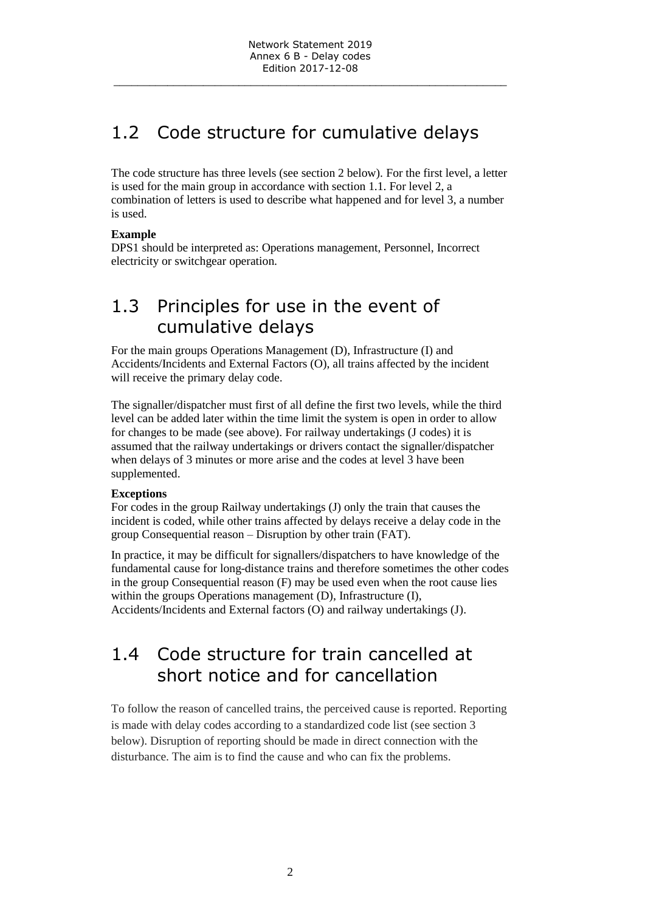## <span id="page-1-0"></span>1.2 Code structure for cumulative delays

The code structure has three levels (see section 2 below). For the first level, a letter is used for the main group in accordance with section 1.1. For level 2, a combination of letters is used to describe what happened and for level 3, a number is used.

#### **Example**

DPS1 should be interpreted as: Operations management, Personnel, Incorrect electricity or switchgear operation.

### <span id="page-1-1"></span>1.3 Principles for use in the event of cumulative delays

For the main groups Operations Management (D), Infrastructure (I) and Accidents/Incidents and External Factors (O), all trains affected by the incident will receive the primary delay code.

The signaller/dispatcher must first of all define the first two levels, while the third level can be added later within the time limit the system is open in order to allow for changes to be made (see above). For railway undertakings (J codes) it is assumed that the railway undertakings or drivers contact the signaller/dispatcher when delays of 3 minutes or more arise and the codes at level 3 have been supplemented.

#### **Exceptions**

For codes in the group Railway undertakings (J) only the train that causes the incident is coded, while other trains affected by delays receive a delay code in the group Consequential reason – Disruption by other train (FAT).

In practice, it may be difficult for signallers/dispatchers to have knowledge of the fundamental cause for long-distance trains and therefore sometimes the other codes in the group Consequential reason (F) may be used even when the root cause lies within the groups Operations management (D), Infrastructure (I), Accidents/Incidents and External factors (O) and railway undertakings (J).

### <span id="page-1-2"></span>1.4 Code structure for train cancelled at short notice and for cancellation

To follow the reason of cancelled trains, the perceived cause is reported. Reporting is made with delay codes according to a standardized code list (see section 3 below). Disruption of reporting should be made in direct connection with the disturbance. The aim is to find the cause and who can fix the problems.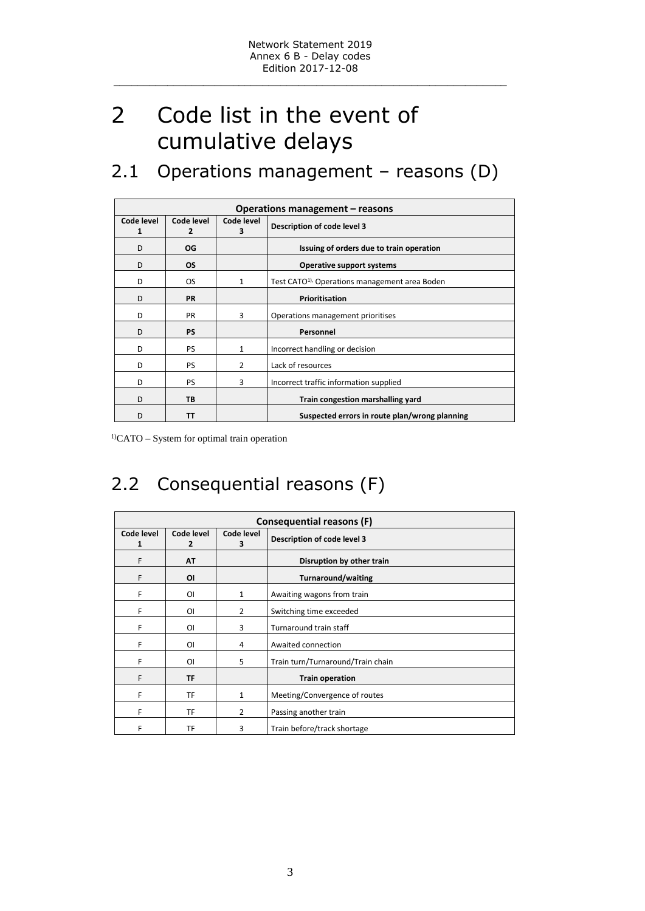# <span id="page-2-0"></span>2 Code list in the event of cumulative delays

### <span id="page-2-1"></span>2.1 Operations management – reasons (D)

|                 | Operations management – reasons |                 |                                                            |  |  |  |
|-----------------|---------------------------------|-----------------|------------------------------------------------------------|--|--|--|
| Code level<br>1 | Code level<br>2                 | Code level<br>3 | Description of code level 3                                |  |  |  |
| D               | OG                              |                 | Issuing of orders due to train operation                   |  |  |  |
| D               | <b>OS</b>                       |                 | <b>Operative support systems</b>                           |  |  |  |
| D               | <b>OS</b>                       | 1               | Test CATO <sup>1)</sup> , Operations management area Boden |  |  |  |
| D               | <b>PR</b>                       |                 | Prioritisation                                             |  |  |  |
| D               | <b>PR</b>                       | 3               | Operations management prioritises                          |  |  |  |
| D               | <b>PS</b>                       |                 | Personnel                                                  |  |  |  |
| D               | PS.                             | $\mathbf{1}$    | Incorrect handling or decision                             |  |  |  |
| D               | <b>PS</b>                       | 2               | Lack of resources                                          |  |  |  |
| D               | <b>PS</b>                       | 3               | Incorrect traffic information supplied                     |  |  |  |
| D               | TB                              |                 | Train congestion marshalling yard                          |  |  |  |
| D               | TΤ                              |                 | Suspected errors in route plan/wrong planning              |  |  |  |

<sup>1)</sup>CATO – System for optimal train operation

## <span id="page-2-2"></span>2.2 Consequential reasons (F)

| Consequential reasons (F) |                              |                 |                                   |  |  |
|---------------------------|------------------------------|-----------------|-----------------------------------|--|--|
| Code level<br>1           | Code level<br>$\overline{2}$ | Code level<br>3 | Description of code level 3       |  |  |
| F                         | <b>AT</b>                    |                 | Disruption by other train         |  |  |
| F                         | ΟI                           |                 | <b>Turnaround/waiting</b>         |  |  |
| F                         | ΟI                           | 1               | Awaiting wagons from train        |  |  |
| F                         | O <sub>1</sub>               | $\overline{2}$  | Switching time exceeded           |  |  |
| F                         | ΟI                           | 3               | Turnaround train staff            |  |  |
| F                         | ΟI                           | 4               | Awaited connection                |  |  |
| F                         | ΟI                           | 5               | Train turn/Turnaround/Train chain |  |  |
| F                         | <b>TF</b>                    |                 | <b>Train operation</b>            |  |  |
| F                         | TF                           | 1               | Meeting/Convergence of routes     |  |  |
| F                         | TF                           | $\overline{2}$  | Passing another train             |  |  |
| F                         | TF                           | 3               | Train before/track shortage       |  |  |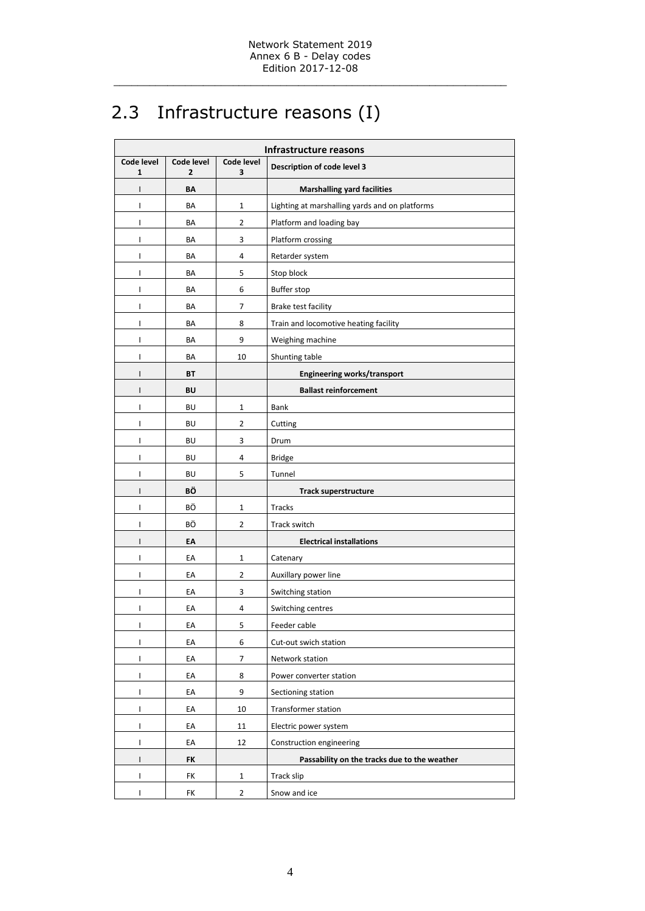## <span id="page-3-0"></span>2.3 Infrastructure reasons (I)

| <b>Infrastructure reasons</b> |                 |                 |                                                |  |
|-------------------------------|-----------------|-----------------|------------------------------------------------|--|
| Code level<br>1               | Code level<br>2 | Code level<br>3 | Description of code level 3                    |  |
| $\mathsf{I}$                  | BΛ              |                 | <b>Marshalling yard facilities</b>             |  |
| I                             | BA              | $\mathbf{1}$    | Lighting at marshalling yards and on platforms |  |
| I                             | BA              | $\overline{2}$  | Platform and loading bay                       |  |
| I                             | BA              | 3               | Platform crossing                              |  |
| I                             | BA              | 4               | Retarder system                                |  |
| I                             | BA              | 5               | Stop block                                     |  |
| I                             | BA              | 6               | <b>Buffer stop</b>                             |  |
| I                             | BA              | 7               | Brake test facility                            |  |
| I                             | BA              | 8               | Train and locomotive heating facility          |  |
| I                             | BA              | 9               | Weighing machine                               |  |
| I                             | BA              | 10              | Shunting table                                 |  |
| I                             | BT              |                 | Engineering works/transport                    |  |
| $\mathsf{I}$                  | BU              |                 | <b>Ballast reinforcement</b>                   |  |
| I                             | <b>BU</b>       | $\mathbf{1}$    | Bank                                           |  |
| I                             | BU              | 2               | Cutting                                        |  |
| I                             | BU              | 3               | Drum                                           |  |
| I                             | <b>BU</b>       | 4               | <b>Bridge</b>                                  |  |
| I                             | BU              | 5               | Tunnel                                         |  |
| $\mathsf{I}$                  | ΒÖ              |                 | <b>Track superstructure</b>                    |  |
| I                             | ВÖ              | $\mathbf{1}$    | <b>Tracks</b>                                  |  |
| I                             | BÖ              | 2               | Track switch                                   |  |
| I                             | EΑ              |                 | <b>Electrical installations</b>                |  |
| I                             | EA              | $\mathbf{1}$    | Catenary                                       |  |
| I                             | EA              | $\overline{2}$  | Auxillary power line                           |  |
| I                             | EA              | 3               | Switching station                              |  |
| I                             | EA              | 4               | Switching centres                              |  |
| L                             | EA              | 5               | Feeder cable                                   |  |
| I                             | EA              | 6               | Cut-out swich station                          |  |
| L                             | EA              | 7               | Network station                                |  |
| L                             | EA              | 8               | Power converter station                        |  |
| L                             | EA              | 9               | Sectioning station                             |  |
| I                             | EA              | 10              | Transformer station                            |  |
| L                             | EA              | 11              | Electric power system                          |  |
| I                             | EA              | 12              | Construction engineering                       |  |
| I                             | FK              |                 | Passability on the tracks due to the weather   |  |
| L                             | FK              | $\mathbf{1}$    | Track slip                                     |  |
| I                             | FK              | $\overline{2}$  | Snow and ice                                   |  |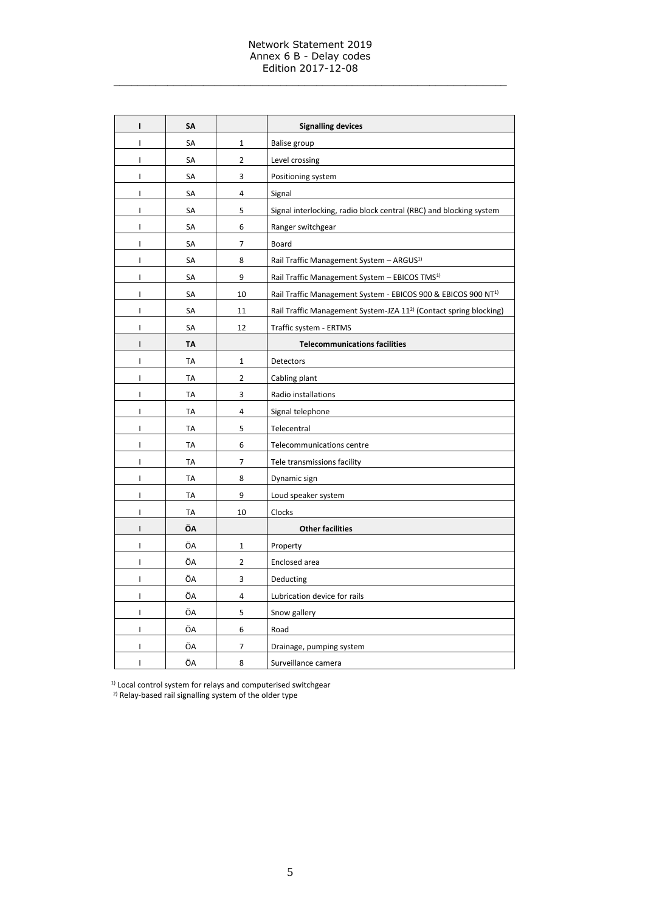#### Network Statement 2019 Annex 6 B - Delay codes Edition 2017-12-08

\_\_\_\_\_\_\_\_\_\_\_\_\_\_\_\_\_\_\_\_\_\_\_\_\_\_\_\_\_\_\_\_\_\_\_\_\_\_\_\_\_\_\_\_\_\_\_\_\_\_\_\_\_\_\_\_\_\_\_\_\_\_\_\_\_\_

| $\mathbf{I}$   | SΑ        |                | <b>Signalling devices</b>                                                     |
|----------------|-----------|----------------|-------------------------------------------------------------------------------|
| I              | SA        | 1              | Balise group                                                                  |
| $\mathsf{I}$   | SA        | $\overline{2}$ | Level crossing                                                                |
| I              | SА        | 3              | Positioning system                                                            |
| $\mathsf{I}$   | SА        | 4              | Signal                                                                        |
| I              | SА        | 5              | Signal interlocking, radio block central (RBC) and blocking system            |
| $\mathbf{I}$   | SА        | 6              | Ranger switchgear                                                             |
| I              | SA        | 7              | Board                                                                         |
| I              | SA        | 8              | Rail Traffic Management System - ARGUS <sup>1)</sup>                          |
| I              | SA        | 9              | Rail Traffic Management System - EBICOS TMS <sup>1)</sup>                     |
| I              | SA        | 10             | Rail Traffic Management System - EBICOS 900 & EBICOS 900 NT <sup>1)</sup>     |
| I              | SA        | 11             | Rail Traffic Management System-JZA 11 <sup>2)</sup> (Contact spring blocking) |
| I              | SA        | 12             | Traffic system - ERTMS                                                        |
| $\mathsf{I}$   | <b>TA</b> |                | <b>Telecommunications facilities</b>                                          |
| I              | ТA        | 1              | Detectors                                                                     |
| L              | TA        | $\overline{2}$ | Cabling plant                                                                 |
| I              | ТA        | 3              | Radio installations                                                           |
| I              | ТA        | 4              | Signal telephone                                                              |
| I              | ТA        | 5              | Telecentral                                                                   |
| $\mathsf{I}$   | TA        | 6              | Telecommunications centre                                                     |
| I              | TA        | 7              | Tele transmissions facility                                                   |
| I              | <b>TA</b> | 8              | Dynamic sign                                                                  |
| I              | <b>TA</b> | 9              | Loud speaker system                                                           |
| I              | <b>TA</b> | 10             | Clocks                                                                        |
| I              | ÖΛ        |                | <b>Other facilities</b>                                                       |
| $\overline{1}$ | ÖA        | $\mathbf 1$    | Property                                                                      |
| $\mathsf{I}$   | ÖA        | $\overline{2}$ | Enclosed area                                                                 |
| $\mathbf{I}$   | ÖA        | 3              | Deducting                                                                     |
| T              | ÖA        | $\overline{4}$ | Lubrication device for rails                                                  |
| T              | ÖA        | 5              | Snow gallery                                                                  |
| I              | ÖA        | 6              | Road                                                                          |
| I              | ÖA        | 7              | Drainage, pumping system                                                      |
| T              | ÖA        | 8              | Surveillance camera                                                           |

 $1)$  Local control system for relays and computerised switchgear

<sup>2)</sup> Relay-based rail signalling system of the older type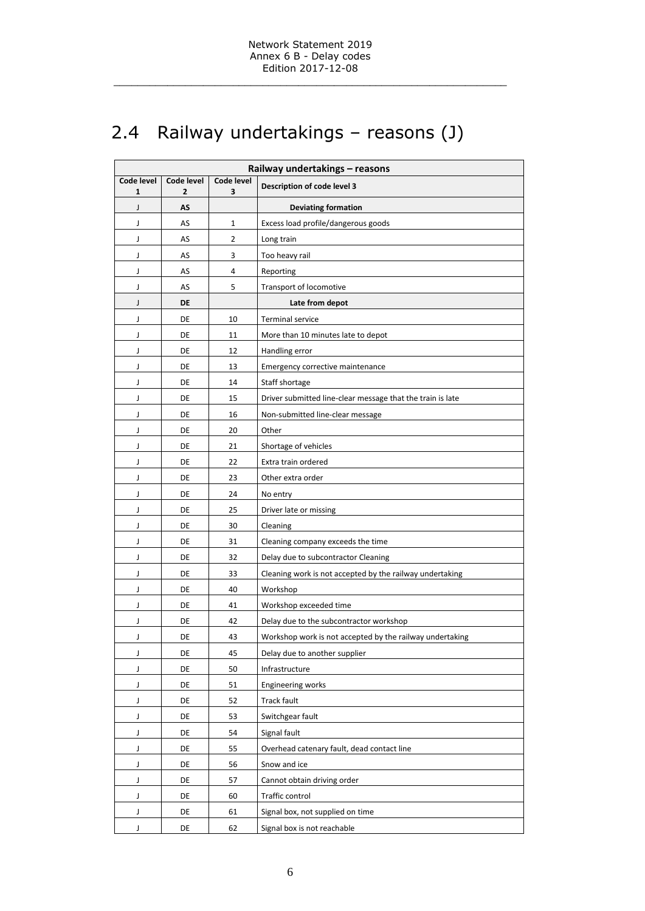## <span id="page-5-0"></span>2.4 Railway undertakings – reasons (J)

| Railway undertakings - reasons |                 |                 |                                                            |  |  |
|--------------------------------|-----------------|-----------------|------------------------------------------------------------|--|--|
| Code level<br>1                | Code level<br>2 | Code level<br>3 | Description of code level 3                                |  |  |
| J                              | AS              |                 | <b>Deviating formation</b>                                 |  |  |
| J                              | AS              | 1               | Excess load profile/dangerous goods                        |  |  |
| J                              | AS              | 2               | Long train                                                 |  |  |
| J                              | AS              | 3               | Too heavy rail                                             |  |  |
| J                              | AS              | 4               | Reporting                                                  |  |  |
| J                              | AS              | 5               | Transport of locomotive                                    |  |  |
| J                              | DE              |                 | Late from depot                                            |  |  |
| J                              | DE              | 10              | <b>Terminal service</b>                                    |  |  |
| J                              | DE              | 11              | More than 10 minutes late to depot                         |  |  |
| J                              | DE              | 12              | Handling error                                             |  |  |
| J                              | DE              | 13              | Emergency corrective maintenance                           |  |  |
| J                              | DE              | 14              | Staff shortage                                             |  |  |
| J                              | DE              | 15              | Driver submitted line-clear message that the train is late |  |  |
| J                              | DE              | 16              | Non-submitted line-clear message                           |  |  |
| J                              | DE              | 20              | Other                                                      |  |  |
| J                              | DE              | 21              | Shortage of vehicles                                       |  |  |
| J                              | DE              | 22              | Extra train ordered                                        |  |  |
| J                              | DE              | 23              | Other extra order                                          |  |  |
| J                              | DE              | 24              | No entry                                                   |  |  |
| J                              | DE              | 25              | Driver late or missing                                     |  |  |
| J                              | DE              | 30              | Cleaning                                                   |  |  |
| J                              | DE              | 31              | Cleaning company exceeds the time                          |  |  |
| J                              | DE              | 32              | Delay due to subcontractor Cleaning                        |  |  |
| J                              | DE              | 33              | Cleaning work is not accepted by the railway undertaking   |  |  |
| J                              | DE              | 40              | Workshop                                                   |  |  |
| J                              | DE              | 41              | Workshop exceeded time                                     |  |  |
| J                              | DE              | 42              | Delay due to the subcontractor workshop                    |  |  |
| J                              | DE              | 43              | Workshop work is not accepted by the railway undertaking   |  |  |
| J                              | DE              | 45              | Delay due to another supplier                              |  |  |
| J                              | DE              | 50              | Infrastructure                                             |  |  |
| J                              | DE              | 51              | Engineering works                                          |  |  |
| J                              | DE              | 52              | Track fault                                                |  |  |
| J                              | DE              | 53              | Switchgear fault                                           |  |  |
| J                              | DE              | 54              | Signal fault                                               |  |  |
| J                              | DE              | 55              | Overhead catenary fault, dead contact line                 |  |  |
| J                              | DE              | 56              | Snow and ice                                               |  |  |
| J                              | DE              | 57              | Cannot obtain driving order                                |  |  |
| J                              | DE              | 60              | Traffic control                                            |  |  |
| J                              | DE              | 61              | Signal box, not supplied on time                           |  |  |
| J                              | DE              | 62              | Signal box is not reachable                                |  |  |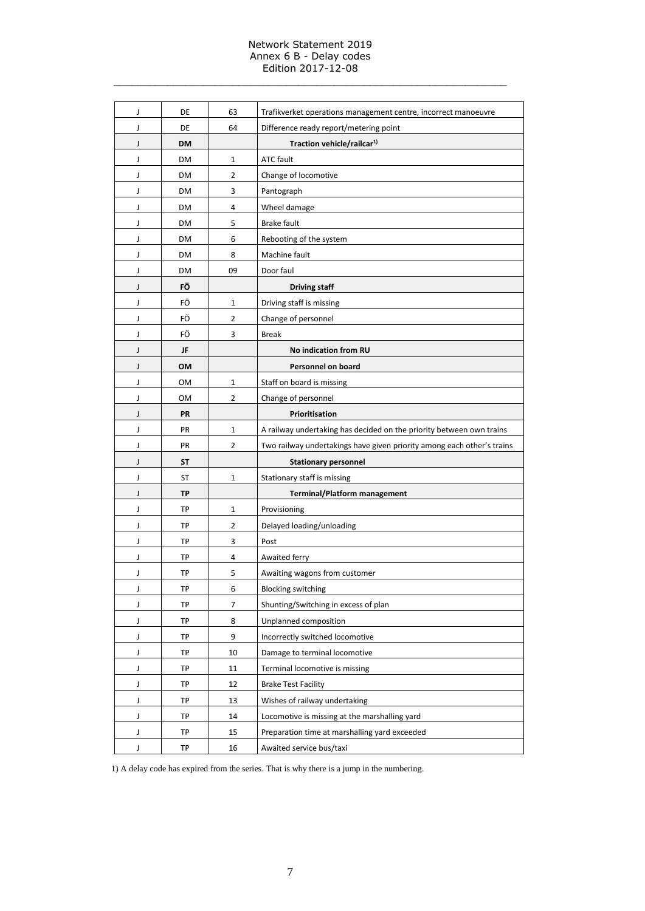#### Network Statement 2019 Annex 6 B - Delay codes Edition 2017-12-08

\_\_\_\_\_\_\_\_\_\_\_\_\_\_\_\_\_\_\_\_\_\_\_\_\_\_\_\_\_\_\_\_\_\_\_\_\_\_\_\_\_\_\_\_\_\_\_\_\_\_\_\_\_\_\_\_\_\_\_\_\_\_\_\_\_\_

| J | DE        | 63             | Trafikverket operations management centre, incorrect manoeuvre         |
|---|-----------|----------------|------------------------------------------------------------------------|
| J | DE        | 64             | Difference ready report/metering point                                 |
| J | <b>DM</b> |                | Traction vehicle/railcar <sup>1)</sup>                                 |
| J | DM        | 1              | <b>ATC fault</b>                                                       |
| J | DM        | $\overline{2}$ | Change of locomotive                                                   |
| J | DM        | 3              | Pantograph                                                             |
| J | DM        | 4              | Wheel damage                                                           |
| J | <b>DM</b> | 5              | <b>Brake fault</b>                                                     |
| J | DM        | 6              | Rebooting of the system                                                |
| J | DM        | 8              | Machine fault                                                          |
| J | DM        | 09             | Door faul                                                              |
| J | FÖ        |                | <b>Driving staff</b>                                                   |
| J | FÖ        | $\mathbf{1}$   | Driving staff is missing                                               |
| J | FÖ        | 2              | Change of personnel                                                    |
| J | FÖ        | 3              | <b>Break</b>                                                           |
| J | JF        |                | No indication from RU                                                  |
| J | OM        |                | Personnel on board                                                     |
| J | ΟM        | 1              | Staff on board is missing                                              |
| J | OM        | $\overline{2}$ | Change of personnel                                                    |
| J | PR        |                | Prioritisation                                                         |
| J | PR        | $\mathbf{1}$   | A railway undertaking has decided on the priority between own trains   |
| J | PR        | 2              | Two railway undertakings have given priority among each other's trains |
| J | <b>ST</b> |                | <b>Stationary personnel</b>                                            |
| J | ST        | 1              | Stationary staff is missing                                            |
| J | <b>TP</b> |                | <b>Terminal/Platform management</b>                                    |
| J | TP        | $\mathbf{1}$   | Provisioning                                                           |
| J | TP        | $\overline{2}$ | Delayed loading/unloading                                              |
| J | TP        | 3              | Post                                                                   |
| J | TP        | 4              | Awaited ferry                                                          |
| J | TP        | 5              | Awaiting wagons from customer                                          |
| J | ТP        | 6              | <b>Blocking switching</b>                                              |
| J | <b>TP</b> | 7              | Shunting/Switching in excess of plan                                   |
| J | TP        | 8              | Unplanned composition                                                  |
| J | TP        | 9              | Incorrectly switched locomotive                                        |
| J | TP        | 10             | Damage to terminal locomotive                                          |
| J | TP        | 11             | Terminal locomotive is missing                                         |
| J | TP        | 12             | <b>Brake Test Facility</b>                                             |
| J | TP        | 13             | Wishes of railway undertaking                                          |
| J | TP        | 14             | Locomotive is missing at the marshalling yard                          |
| J | TP        | 15             | Preparation time at marshalling yard exceeded                          |
| J | TP        | 16             | Awaited service bus/taxi                                               |

1) A delay code has expired from the series. That is why there is a jump in the numbering.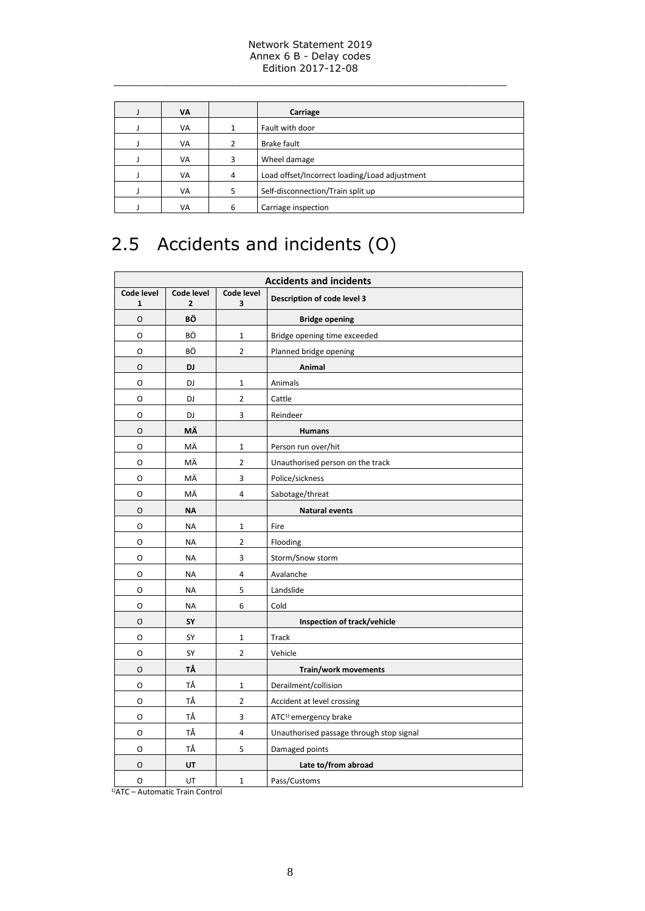#### Network Statement 2019 Annex 6 B - Delay codes Edition 2017-12-08

\_\_\_\_\_\_\_\_\_\_\_\_\_\_\_\_\_\_\_\_\_\_\_\_\_\_\_\_\_\_\_\_\_\_\_\_\_\_\_\_\_\_\_\_\_\_\_\_\_\_\_\_\_\_\_\_\_\_\_\_\_\_\_\_\_\_

| VA |   | Carriage                                      |  |
|----|---|-----------------------------------------------|--|
| VA |   | Fault with door                               |  |
| VA |   | Brake fault                                   |  |
| VA | 3 | Wheel damage                                  |  |
| VA | 4 | Load offset/Incorrect loading/Load adjustment |  |
| VA | 5 | Self-disconnection/Train split up             |  |
| VA | 6 | Carriage inspection                           |  |

## <span id="page-7-0"></span>2.5 Accidents and incidents (O)

| <b>Accidents and incidents</b> |                              |                         |                                          |  |  |
|--------------------------------|------------------------------|-------------------------|------------------------------------------|--|--|
| Code level<br>1                | Code level<br>$\overline{2}$ | Code level<br>3         | Description of code level 3              |  |  |
| 0                              | ΒÖ                           |                         | <b>Bridge opening</b>                    |  |  |
| O                              | ВÖ                           | $\mathbf{1}$            | Bridge opening time exceeded             |  |  |
| O                              | BÖ                           | $\overline{2}$          | Planned bridge opening                   |  |  |
| O                              | DJ                           |                         | Animal                                   |  |  |
| 0                              | DJ                           | $\mathbf{1}$            | Animals                                  |  |  |
| O                              | DJ                           | $\overline{2}$          | Cattle                                   |  |  |
| O                              | DJ                           | 3                       | Reindeer                                 |  |  |
| O                              | ΜÄ                           |                         | <b>Humans</b>                            |  |  |
| 0                              | ΜÄ                           | $\mathbf 1$             | Person run over/hit                      |  |  |
| O                              | MÄ                           | 2                       | Unauthorised person on the track         |  |  |
| O                              | ΜÄ                           | 3                       | Police/sickness                          |  |  |
| 0                              | ΜÄ                           | $\overline{\mathbf{4}}$ | Sabotage/threat                          |  |  |
| O                              | <b>NA</b>                    |                         | <b>Natural events</b>                    |  |  |
| О                              | <b>NA</b>                    | $\mathbf 1$             | Fire                                     |  |  |
| O                              | <b>NA</b>                    | $\overline{2}$          | Flooding                                 |  |  |
| O                              | <b>NA</b>                    | 3                       | Storm/Snow storm                         |  |  |
| 0                              | NA                           | 4                       | Avalanche                                |  |  |
| O                              | <b>NA</b>                    | 5                       | Landslide                                |  |  |
| 0                              | <b>NA</b>                    | 6                       | Cold                                     |  |  |
| O                              | SY                           |                         | Inspection of track/vehicle              |  |  |
| O                              | SY                           | $\mathbf{1}$            | <b>Track</b>                             |  |  |
| 0                              | SY                           | $\overline{2}$          | Vehicle                                  |  |  |
| O                              | ΤÅ                           |                         | Train/work movements                     |  |  |
| O                              | ΤÅ                           | $\mathbf 1$             | Derailment/collision                     |  |  |
| O                              | ТÅ                           | $\overline{2}$          | Accident at level crossing               |  |  |
| О                              | ТÅ                           | 3                       | ATC <sup>1)-</sup> emergency brake       |  |  |
| 0                              | ТÅ                           | 4                       | Unauthorised passage through stop signal |  |  |
| O                              | TÅ                           | 5                       | Damaged points                           |  |  |
| O                              | UT                           |                         | Late to/from abroad                      |  |  |
| 0                              | UT                           | $\mathbf 1$             | Pass/Customs                             |  |  |

1)ATC – Automatic Train Control